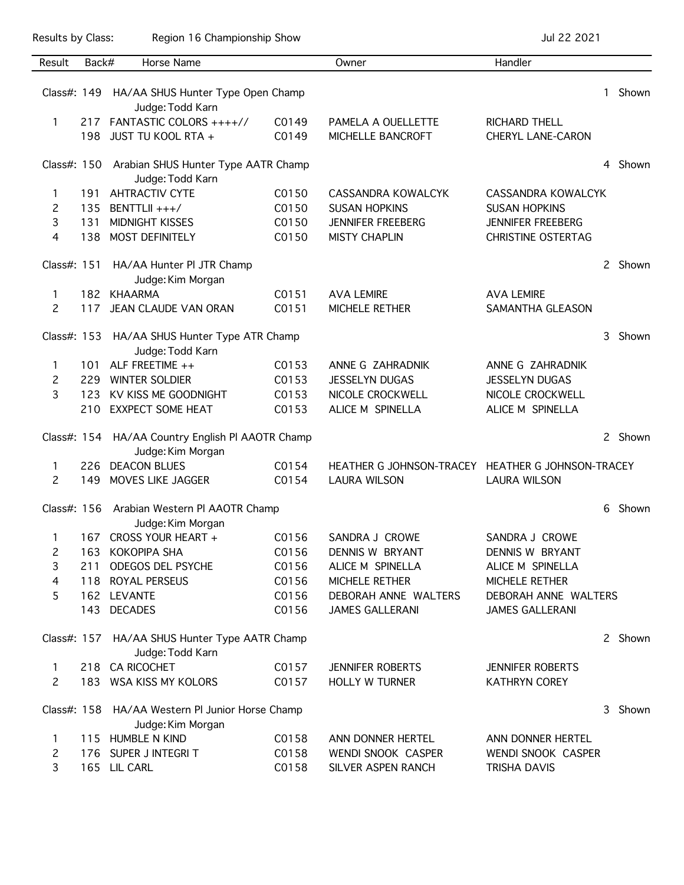Results by Class: Region 16 Championship Show Championship Show Jul 22 2021

| Result                                                               | Back# | Horse Name                                                            |       | Owner                                             | Handler                   |    |         |
|----------------------------------------------------------------------|-------|-----------------------------------------------------------------------|-------|---------------------------------------------------|---------------------------|----|---------|
|                                                                      |       | Class#: 149 HA/AA SHUS Hunter Type Open Champ                         |       |                                                   |                           | 1. | Shown   |
|                                                                      |       | Judge: Todd Karn                                                      |       |                                                   |                           |    |         |
| 1                                                                    | 217   | FANTASTIC COLORS ++++//                                               | C0149 | PAMELA A OUELLETTE                                | <b>RICHARD THELL</b>      |    |         |
|                                                                      | 198   | JUST TU KOOL RTA +                                                    | C0149 | MICHELLE BANCROFT                                 | <b>CHERYL LANE-CARON</b>  |    |         |
|                                                                      |       | Class#: 150 Arabian SHUS Hunter Type AATR Champ<br>Judge: Todd Karn   |       |                                                   |                           | 4  | Shown   |
| 1                                                                    | 191   | <b>AHTRACTIV CYTE</b>                                                 | C0150 | <b>CASSANDRA KOWALCYK</b>                         | CASSANDRA KOWALCYK        |    |         |
| 2                                                                    | 135   | BENTTLII +++/                                                         | C0150 | <b>SUSAN HOPKINS</b>                              | <b>SUSAN HOPKINS</b>      |    |         |
| 3                                                                    | 131   | MIDNIGHT KISSES                                                       | C0150 | <b>JENNIFER FREEBERG</b>                          | <b>JENNIFER FREEBERG</b>  |    |         |
| 4                                                                    | 138   | MOST DEFINITELY                                                       | C0150 | <b>MISTY CHAPLIN</b>                              | <b>CHRISTINE OSTERTAG</b> |    |         |
| Class#: 151                                                          |       | HA/AA Hunter PI JTR Champ<br>Judge: Kim Morgan                        |       |                                                   |                           |    | 2 Shown |
| 1                                                                    | 182   | KHAARMA                                                               | C0151 | <b>AVA LEMIRE</b>                                 | <b>AVA LEMIRE</b>         |    |         |
| $\overline{c}$                                                       | 117   | JEAN CLAUDE VAN ORAN                                                  | C0151 | MICHELE RETHER                                    | SAMANTHA GLEASON          |    |         |
| Class#: 153 HA/AA SHUS Hunter Type ATR Champ<br>Judge: Todd Karn     |       |                                                                       |       |                                                   |                           | 3  | Shown   |
| 1.                                                                   | 101   | ALF FREETIME ++                                                       | C0153 | ANNE G ZAHRADNIK                                  | ANNE G ZAHRADNIK          |    |         |
| 2                                                                    | 229   | <b>WINTER SOLDIER</b>                                                 | C0153 | <b>JESSELYN DUGAS</b>                             | <b>JESSELYN DUGAS</b>     |    |         |
| 3                                                                    | 123   | KV KISS ME GOODNIGHT                                                  | C0153 | NICOLE CROCKWELL                                  | NICOLE CROCKWELL          |    |         |
|                                                                      | 210   | <b>EXXPECT SOME HEAT</b>                                              | C0153 | ALICE M SPINELLA                                  | ALICE M SPINELLA          |    |         |
|                                                                      |       | Class#: 154 HA/AA Country English PI AAOTR Champ<br>Judge: Kim Morgan |       |                                                   |                           |    | 2 Shown |
| $\mathbf{1}$                                                         | 226   | <b>DEACON BLUES</b>                                                   | C0154 | HEATHER G JOHNSON-TRACEY HEATHER G JOHNSON-TRACEY |                           |    |         |
| 2                                                                    | 149   | MOVES LIKE JAGGER                                                     | C0154 | <b>LAURA WILSON</b>                               | <b>LAURA WILSON</b>       |    |         |
|                                                                      |       | Class#: 156 Arabian Western PI AAOTR Champ<br>Judge: Kim Morgan       |       |                                                   |                           | 6  | Shown   |
| 1                                                                    | 167   | CROSS YOUR HEART +                                                    | C0156 | SANDRA J CROWE                                    | SANDRA J CROWE            |    |         |
| 2                                                                    |       | 163 KOKOPIPA SHA                                                      | C0156 | <b>DENNIS W BRYANT</b>                            | DENNIS W BRYANT           |    |         |
| 3                                                                    | 211   | <b>ODEGOS DEL PSYCHE</b>                                              | C0156 | ALICE M SPINELLA                                  | ALICE M SPINELLA          |    |         |
| 4                                                                    |       | 118 ROYAL PERSEUS                                                     | C0156 | MICHELE RETHER                                    | MICHELE RETHER            |    |         |
| 5                                                                    |       | 162 LEVANTE                                                           | C0156 | DEBORAH ANNE WALTERS                              | DEBORAH ANNE WALTERS      |    |         |
|                                                                      |       | 143 DECADES                                                           | C0156 | <b>JAMES GALLERANI</b>                            | <b>JAMES GALLERANI</b>    |    |         |
|                                                                      |       | Class#: 157 HA/AA SHUS Hunter Type AATR Champ<br>Judge: Todd Karn     |       |                                                   |                           |    | 2 Shown |
| 1                                                                    |       | 218 CA RICOCHET                                                       | C0157 | <b>JENNIFER ROBERTS</b>                           | <b>JENNIFER ROBERTS</b>   |    |         |
| 2                                                                    |       | 183 WSA KISS MY KOLORS                                                | C0157 | <b>HOLLY W TURNER</b>                             | <b>KATHRYN COREY</b>      |    |         |
| Class#: 158 HA/AA Western Pl Junior Horse Champ<br>Judge: Kim Morgan |       |                                                                       |       |                                                   |                           | 3  | Shown   |
| 1                                                                    |       | 115 HUMBLE N KIND                                                     | C0158 | ANN DONNER HERTEL                                 | ANN DONNER HERTEL         |    |         |
| 2                                                                    |       | 176 SUPER J INTEGRIT                                                  | C0158 | WENDI SNOOK CASPER                                | WENDI SNOOK CASPER        |    |         |
| 3                                                                    |       | 165 LIL CARL                                                          | C0158 | SILVER ASPEN RANCH                                | TRISHA DAVIS              |    |         |
|                                                                      |       |                                                                       |       |                                                   |                           |    |         |